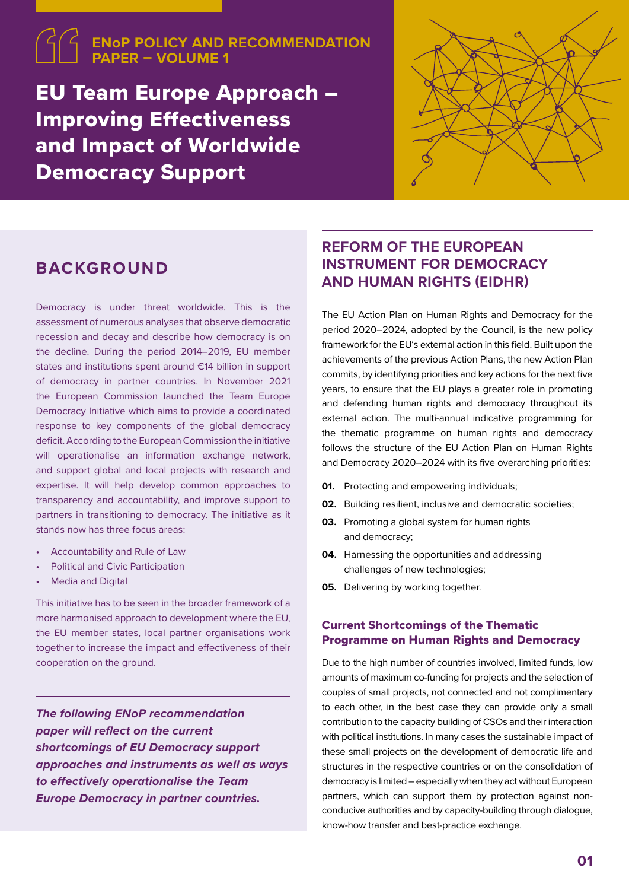## **ENoP POLICY AND RECOMMENDATION PAPER – VOLUME 1**

EU Team Europe Approach – Improving Effectiveness and Impact of Worldwide Democracy Support



# **BACKGROUND**

Democracy is under threat worldwide. This is the assessment of numerous analyses that observe democratic recession and decay and describe how democracy is on the decline. During the period 2014–2019, EU member states and institutions spent around €14 billion in support of democracy in partner countries. In November 2021 the European Commission launched the Team Europe Democracy Initiative which aims to provide a coordinated response to key components of the global democracy deficit. According to the European Commission the initiative will operationalise an information exchange network, and support global and local projects with research and expertise. It will help develop common approaches to transparency and accountability, and improve support to partners in transitioning to democracy. The initiative as it stands now has three focus areas:

- Accountability and Rule of Law
- Political and Civic Participation
- **Media and Digital**

This initiative has to be seen in the broader framework of a more harmonised approach to development where the EU, the EU member states, local partner organisations work together to increase the impact and effectiveness of their cooperation on the ground.

*The following ENoP recommendation paper will reflect on the current shortcomings of EU Democracy support approaches and instruments as well as ways to effectively operationalise the Team Europe Democracy in partner countries.* 

# **REFORM OF THE EUROPEAN INSTRUMENT FOR DEMOCRACY AND HUMAN RIGHTS (EIDHR)**

The EU Action Plan on Human Rights and Democracy for the period 2020–2024, adopted by the Council, is the new policy framework for the EU's external action in this field. Built upon the achievements of the previous Action Plans, the new Action Plan commits, by identifying priorities and key actions for the next five years, to ensure that the EU plays a greater role in promoting and defending human rights and democracy throughout its external action. The multi-annual indicative programming for the thematic programme on human rights and democracy follows the structure of the EU Action Plan on Human Rights and Democracy 2020–2024 with its five overarching priorities:

- **01.** Protecting and empowering individuals:
- **02.** Building resilient, inclusive and democratic societies;
- **03.** Promoting a global system for human rights and democracy;
- **04.** Harnessing the opportunities and addressing challenges of new technologies;
- **05.** Delivering by working together.

### Current Shortcomings of the Thematic Programme on Human Rights and Democracy

Due to the high number of countries involved, limited funds, low amounts of maximum co-funding for projects and the selection of couples of small projects, not connected and not complimentary to each other, in the best case they can provide only a small contribution to the capacity building of CSOs and their interaction with political institutions. In many cases the sustainable impact of these small projects on the development of democratic life and structures in the respective countries or on the consolidation of democracy is limited – especially when they act without European partners, which can support them by protection against nonconducive authorities and by capacity-building through dialogue, know-how transfer and best-practice exchange.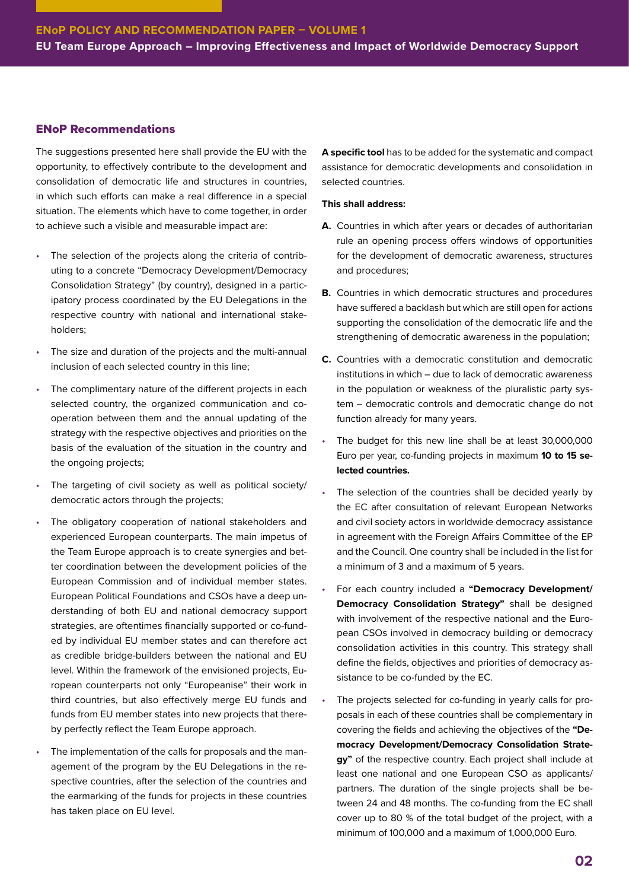### ENoP Recommendations

The suggestions presented here shall provide the EU with the opportunity, to effectively contribute to the development and consolidation of democratic life and structures in countries, in which such efforts can make a real difference in a special situation. The elements which have to come together, in order to achieve such a visible and measurable impact are:

- The selection of the projects along the criteria of contributing to a concrete "Democracy Development/Democracy Consolidation Strategy" (by country), designed in a participatory process coordinated by the EU Delegations in the respective country with national and international stakeholders;
- The size and duration of the projects and the multi-annual inclusion of each selected country in this line;
- The complimentary nature of the different projects in each selected country, the organized communication and cooperation between them and the annual updating of the strategy with the respective objectives and priorities on the basis of the evaluation of the situation in the country and the ongoing projects:
- The targeting of civil society as well as political society/ democratic actors through the projects;
- The obligatory cooperation of national stakeholders and experienced European counterparts. The main impetus of the Team Europe approach is to create synergies and better coordination between the development policies of the European Commission and of individual member states. European Political Foundations and CSOs have a deep understanding of both EU and national democracy support strategies, are oftentimes financially supported or co-funded by individual EU member states and can therefore act as credible bridge-builders between the national and EU level. Within the framework of the envisioned projects, European counterparts not only "Europeanise" their work in third countries, but also effectively merge EU funds and funds from EU member states into new projects that thereby perfectly reflect the Team Europe approach.
- The implementation of the calls for proposals and the management of the program by the EU Delegations in the respective countries, after the selection of the countries and the earmarking of the funds for projects in these countries has taken place on EU level.

**A specific tool** has to be added for the systematic and compact assistance for democratic developments and consolidation in selected countries.

#### **This shall address:**

- **A.** Countries in which after years or decades of authoritarian rule an opening process offers windows of opportunities for the development of democratic awareness, structures and procedures;
- **B.** Countries in which democratic structures and procedures have suffered a backlash but which are still open for actions supporting the consolidation of the democratic life and the strengthening of democratic awareness in the population;
- **C.** Countries with a democratic constitution and democratic institutions in which – due to lack of democratic awareness in the population or weakness of the pluralistic party system – democratic controls and democratic change do not function already for many years.
- The budget for this new line shall be at least 30,000,000 Euro per year, co-funding projects in maximum **10 to 15 selected countries.**
- The selection of the countries shall be decided yearly by the EC after consultation of relevant European Networks and civil society actors in worldwide democracy assistance in agreement with the Foreign Affairs Committee of the EP and the Council. One country shall be included in the list for a minimum of 3 and a maximum of 5 years.
- For each country included a **"Democracy Development/ Democracy Consolidation Strategy"** shall be designed with involvement of the respective national and the European CSOs involved in democracy building or democracy consolidation activities in this country. This strategy shall define the fields, objectives and priorities of democracy assistance to be co-funded by the EC.
- The projects selected for co-funding in yearly calls for proposals in each of these countries shall be complementary in covering the fields and achieving the objectives of the **"Democracy Development/Democracy Consolidation Strategy"** of the respective country. Each project shall include at least one national and one European CSO as applicants/ partners. The duration of the single projects shall be between 24 and 48 months. The co-funding from the EC shall cover up to 80 % of the total budget of the project, with a minimum of 100,000 and a maximum of 1,000,000 Euro.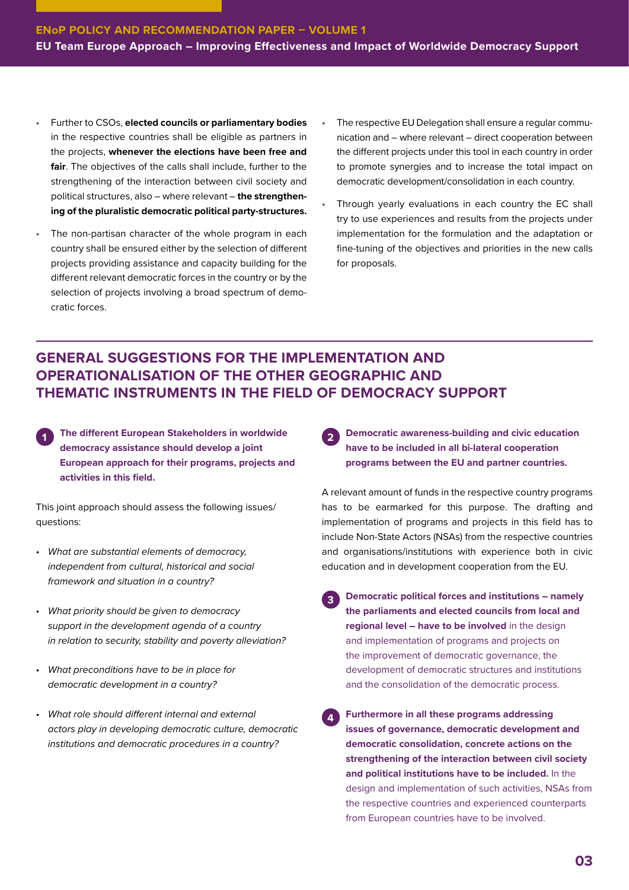- Further to CSOs, **elected councils or parliamentary bodies** in the respective countries shall be eligible as partners in the projects, **whenever the elections have been free and fair**. The objectives of the calls shall include, further to the strengthening of the interaction between civil society and political structures, also – where relevant – **the strengthening of the pluralistic democratic political party-structures.**
- The non-partisan character of the whole program in each country shall be ensured either by the selection of different projects providing assistance and capacity building for the different relevant democratic forces in the country or by the selection of projects involving a broad spectrum of democratic forces.
- The respective EU Delegation shall ensure a regular communication and – where relevant – direct cooperation between the different projects under this tool in each country in order to promote synergies and to increase the total impact on democratic development/consolidation in each country.
- Through yearly evaluations in each country the EC shall try to use experiences and results from the projects under implementation for the formulation and the adaptation or fine-tuning of the objectives and priorities in the new calls for proposals.

## **GENERAL SUGGESTIONS FOR THE IMPLEMENTATION AND OPERATIONALISATION OF THE OTHER GEOGRAPHIC AND THEMATIC INSTRUMENTS IN THE FIELD OF DEMOCRACY SUPPORT**

**1 The different European Stakeholders in worldwide democracy assistance should develop a joint European approach for their programs, projects and activities in this field.** 

This joint approach should assess the following issues/ questions:

- *• What are substantial elements of democracy, independent from cultural, historical and social framework and situation in a country?*
- *• What priority should be given to democracy support in the development agenda of a country in relation to security, stability and poverty alleviation?*
- *• What preconditions have to be in place for democratic development in a country?*
- *• What role should different internal and external actors play in developing democratic culture, democratic institutions and democratic procedures in a country?*

**2 Democratic awareness-building and civic education have to be included in all bi-lateral cooperation programs between the EU and partner countries.**

A relevant amount of funds in the respective country programs has to be earmarked for this purpose. The drafting and implementation of programs and projects in this field has to include Non-State Actors (NSAs) from the respective countries and organisations/institutions with experience both in civic education and in development cooperation from the EU.

- **3 Democratic political forces and institutions namely the parliaments and elected councils from local and regional level – have to be involved** in the design and implementation of programs and projects on the improvement of democratic governance, the development of democratic structures and institutions and the consolidation of the democratic process.
- **4 Furthermore in all these programs addressing issues of governance, democratic development and democratic consolidation, concrete actions on the strengthening of the interaction between civil society and political institutions have to be included.** In the design and implementation of such activities, NSAs from the respective countries and experienced counterparts from European countries have to be involved.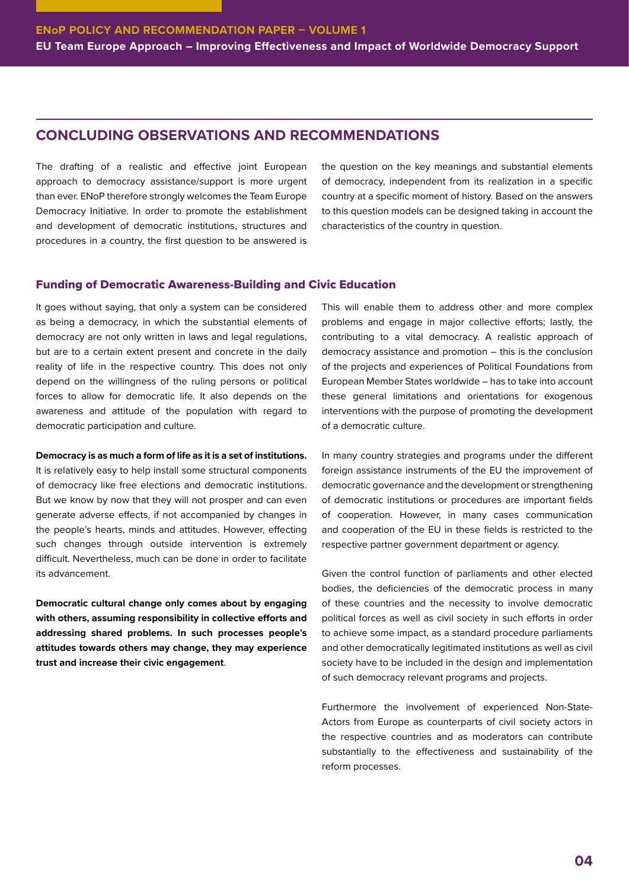## **CONCLUDING OBSERVATIONS AND RECOMMENDATIONS**

The drafting of a realistic and effective joint European approach to democracy assistance/support is more urgent than ever. ENoP therefore strongly welcomes the Team Europe Democracy Initiative. In order to promote the establishment and development of democratic institutions, structures and procedures in a country, the first question to be answered is

the question on the key meanings and substantial elements of democracy, independent from its realization in a specific country at a specific moment of history. Based on the answers to this question models can be designed taking in account the characteristics of the country in question.

### Funding of Democratic Awareness-Building and Civic Education

It goes without saying, that only a system can be considered as being a democracy, in which the substantial elements of democracy are not only written in laws and legal regulations, but are to a certain extent present and concrete in the daily reality of life in the respective country. This does not only depend on the willingness of the ruling persons or political forces to allow for democratic life. It also depends on the awareness and attitude of the population with regard to democratic participation and culture.

**Democracy is as much a form of life as it is a set of institutions.**

It is relatively easy to help install some structural components of democracy like free elections and democratic institutions. But we know by now that they will not prosper and can even generate adverse effects, if not accompanied by changes in the people's hearts, minds and attitudes. However, effecting such changes through outside intervention is extremely difficult. Nevertheless, much can be done in order to facilitate its advancement.

**Democratic cultural change only comes about by engaging with others, assuming responsibility in collective efforts and addressing shared problems. In such processes people's attitudes towards others may change, they may experience trust and increase their civic engagement**.

This will enable them to address other and more complex problems and engage in major collective efforts; lastly, the contributing to a vital democracy. A realistic approach of democracy assistance and promotion – this is the conclusion of the projects and experiences of Political Foundations from European Member States worldwide – has to take into account these general limitations and orientations for exogenous interventions with the purpose of promoting the development of a democratic culture.

In many country strategies and programs under the different foreign assistance instruments of the EU the improvement of democratic governance and the development or strengthening of democratic institutions or procedures are important fields of cooperation. However, in many cases communication and cooperation of the EU in these fields is restricted to the respective partner government department or agency.

Given the control function of parliaments and other elected bodies, the deficiencies of the democratic process in many of these countries and the necessity to involve democratic political forces as well as civil society in such efforts in order to achieve some impact, as a standard procedure parliaments and other democratically legitimated institutions as well as civil society have to be included in the design and implementation of such democracy relevant programs and projects.

Furthermore the involvement of experienced Non-State-Actors from Europe as counterparts of civil society actors in the respective countries and as moderators can contribute substantially to the effectiveness and sustainability of the reform processes.